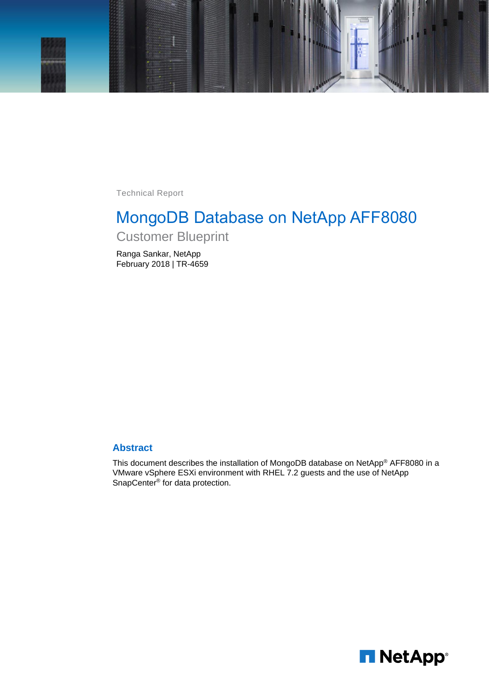

Technical Report

# MongoDB Database on NetApp AFF8080 Customer Blueprint

Ranga Sankar, NetApp February 2018 | TR-4659

#### **Abstract**

This document describes the installation of MongoDB database on NetApp® AFF8080 in a VMware vSphere ESXi environment with RHEL 7.2 guests and the use of NetApp SnapCenter<sup>®</sup> for data protection.

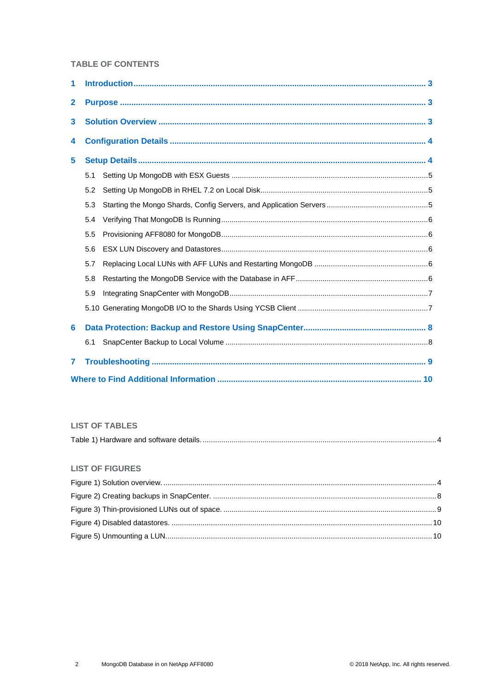#### **TABLE OF CONTENTS**

| 1            |     |  |
|--------------|-----|--|
| $\mathbf{2}$ |     |  |
| 3            |     |  |
| 4            |     |  |
| 5            |     |  |
|              | 5.1 |  |
|              | 5.2 |  |
|              | 5.3 |  |
|              | 5.4 |  |
|              | 5.5 |  |
|              | 5.6 |  |
|              | 5.7 |  |
|              | 5.8 |  |
|              | 5.9 |  |
|              |     |  |
| 6            |     |  |
|              | 6.1 |  |
| 7            |     |  |
|              |     |  |

#### **LIST OF TABLES**

|--|--|

#### **LIST OF FIGURES**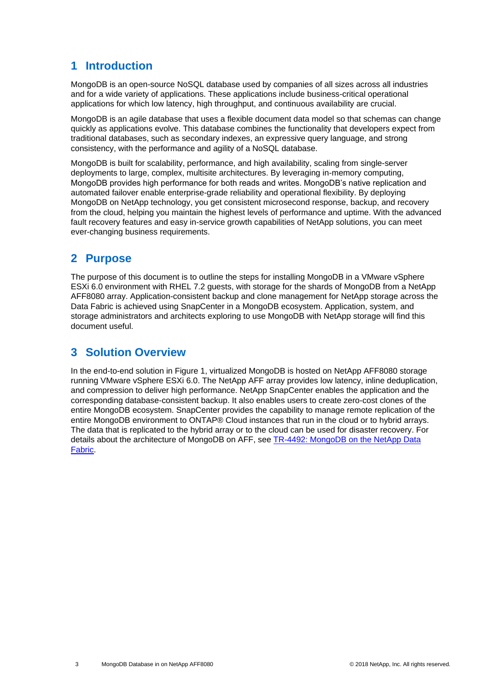## <span id="page-2-0"></span>**1 Introduction**

MongoDB is an open-source NoSQL database used by companies of all sizes across all industries and for a wide variety of applications. These applications include business-critical operational applications for which low latency, high throughput, and continuous availability are crucial.

MongoDB is an agile database that uses a flexible document data model so that schemas can change quickly as applications evolve. This database combines the functionality that developers expect from traditional databases, such as secondary indexes, an expressive query language, and strong consistency, with the performance and agility of a NoSQL database.

MongoDB is built for scalability, performance, and high availability, scaling from single-server deployments to large, complex, multisite architectures. By leveraging in-memory computing, MongoDB provides high performance for both reads and writes. MongoDB's native replication and automated failover enable enterprise-grade reliability and operational flexibility. By deploying MongoDB on NetApp technology, you get consistent microsecond response, backup, and recovery from the cloud, helping you maintain the highest levels of performance and uptime. With the advanced fault recovery features and easy in-service growth capabilities of NetApp solutions, you can meet ever-changing business requirements.

## <span id="page-2-1"></span>**2 Purpose**

The purpose of this document is to outline the steps for installing MongoDB in a VMware vSphere ESXi 6.0 environment with RHEL 7.2 guests, with storage for the shards of MongoDB from a NetApp AFF8080 array. Application-consistent backup and clone management for NetApp storage across the Data Fabric is achieved using SnapCenter in a MongoDB ecosystem. Application, system, and storage administrators and architects exploring to use MongoDB with NetApp storage will find this document useful.

## <span id="page-2-2"></span>**3 Solution Overview**

In the end-to-end solution in [Figure 1,](#page-3-3) virtualized MongoDB is hosted on NetApp AFF8080 storage running VMware vSphere ESXi 6.0. The NetApp AFF array provides low latency, inline deduplication, and compression to deliver high performance. NetApp SnapCenter enables the application and the corresponding database-consistent backup. It also enables users to create zero-cost clones of the entire MongoDB ecosystem. SnapCenter provides the capability to manage remote replication of the entire MongoDB environment to ONTAP® Cloud instances that run in the cloud or to hybrid arrays. The data that is replicated to the hybrid array or to the cloud can be used for disaster recovery. For details about the architecture of MongoDB on AFF, see TR-4492: [MongoDB on the NetApp Data](https://www.netapp.com/us/media/tr-4492.pdf)  [Fabric.](https://www.netapp.com/us/media/tr-4492.pdf)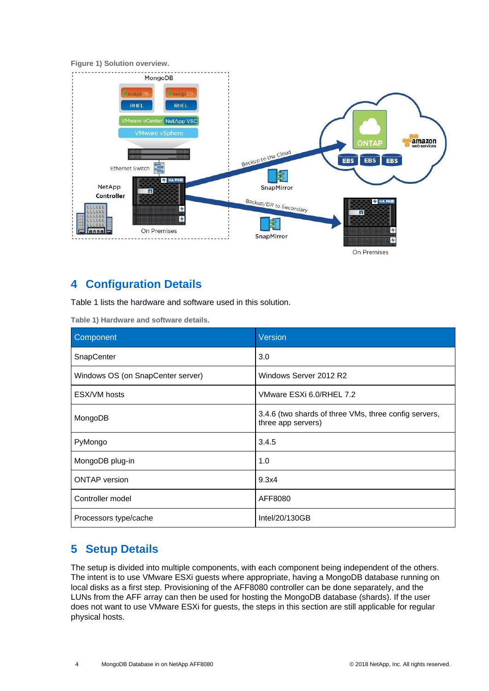<span id="page-3-3"></span>



## <span id="page-3-0"></span>**4 Configuration Details**

[Table 1](#page-3-2) lists the hardware and software used in this solution.

<span id="page-3-2"></span>**Table 1) Hardware and software details.**

| Component                         | Version                                                                     |
|-----------------------------------|-----------------------------------------------------------------------------|
| <b>SnapCenter</b>                 | 3.0                                                                         |
| Windows OS (on SnapCenter server) | Windows Server 2012 R2                                                      |
| ESX/VM hosts                      | VMware ESXi 6.0/RHEL 7.2                                                    |
| MongoDB                           | 3.4.6 (two shards of three VMs, three config servers,<br>three app servers) |
| PyMongo                           | 3.4.5                                                                       |
| MongoDB plug-in                   | 1.0                                                                         |
| <b>ONTAP</b> version              | 9.3x4                                                                       |
| Controller model                  | AFF8080                                                                     |
| Processors type/cache             | Intel/20/130GB                                                              |

## <span id="page-3-1"></span>**5 Setup Details**

The setup is divided into multiple components, with each component being independent of the others. The intent is to use VMware ESXi guests where appropriate, having a MongoDB database running on local disks as a first step. Provisioning of the AFF8080 controller can be done separately, and the LUNs from the AFF array can then be used for hosting the MongoDB database (shards). If the user does not want to use VMware ESXi for guests, the steps in this section are still applicable for regular physical hosts.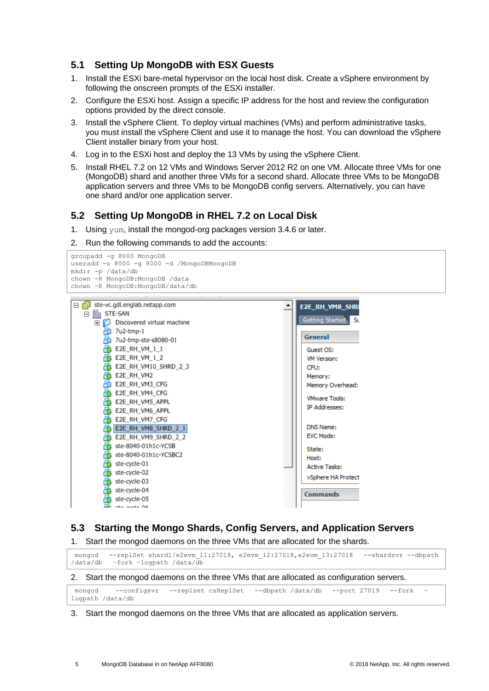### <span id="page-4-0"></span>**5.1 Setting Up MongoDB with ESX Guests**

- 1. Install the ESXi bare-metal hypervisor on the local host disk. Create a vSphere environment by following the onscreen prompts of the ESXi installer.
- 2. Configure the ESXi host. Assign a specific IP address for the host and review the configuration options provided by the direct console.
- 3. Install the vSphere Client. To deploy virtual machines (VMs) and perform administrative tasks, you must install the vSphere Client and use it to manage the host. You can download the vSphere Client installer binary from your host.
- 4. Log in to the ESXi host and deploy the 13 VMs by using the vSphere Client.
- 5. Install RHEL 7.2 on 12 VMs and Windows Server 2012 R2 on one VM. Allocate three VMs for one (MongoDB) shard and another three VMs for a second shard. Allocate three VMs to be MongoDB application servers and three VMs to be MongoDB config servers. Alternatively, you can have one shard and/or one application server.

### <span id="page-4-1"></span>**5.2 Setting Up MongoDB in RHEL 7.2 on Local Disk**

1. Using yum, install the mongod-org packages version 3.4.6 or later.

2. Run the following commands to add the accounts:



### <span id="page-4-2"></span>**5.3 Starting the Mongo Shards, Config Servers, and Application Servers**

1. Start the mongod daemons on the three VMs that are allocated for the shards.

mongod --replSet shard1/e2evm\_11:27018, e2evm\_12:27018, e2evm\_13:27018 --shardsvr --dbpath<br>/data/db -fork -logpath /data/db /data/db –fork –logpath /data/db

2. Start the mongod daemons on the three VMs that are allocated as configuration servers.

|                  | mongod --configsvr --replset csReplSet --dbpath /data/db --port 27019 --fork - |  |  |  |
|------------------|--------------------------------------------------------------------------------|--|--|--|
| logpath /data/db |                                                                                |  |  |  |

3. Start the mongod daemons on the three VMs that are allocated as application servers.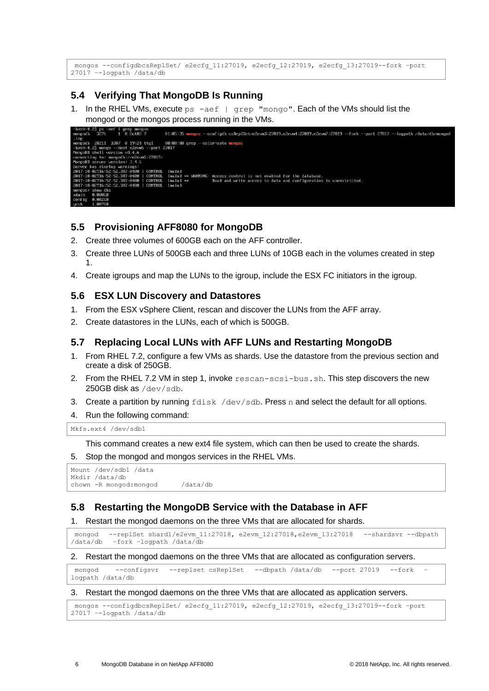```
mongos --configdbcsReplSet/ e2ecfg_11:27019, e2ecfg_12:27019, e2ecfg_13:27019--fork –port 
27017 –-logpath /data/db
```
### <span id="page-5-0"></span>**5.4 Verifying That MongoDB Is Running**

1. In the RHEL VMs, execute  $ps - aef$  | grep "mongo". Each of the VMs should list the mongod or the mongos process running in the VMs.



#### <span id="page-5-1"></span>**5.5 Provisioning AFF8080 for MongoDB**

- 2. Create three volumes of 600GB each on the AFF controller.
- 3. Create three LUNs of 500GB each and three LUNs of 10GB each in the volumes created in step 1.
- 4. Create igroups and map the LUNs to the igroup, include the ESX FC initiators in the igroup.

#### <span id="page-5-2"></span>**5.6 ESX LUN Discovery and Datastores**

- 1. From the ESX vSphere Client, rescan and discover the LUNs from the AFF array.
- 2. Create datastores in the LUNs, each of which is 500GB.

#### <span id="page-5-3"></span>**5.7 Replacing Local LUNs with AFF LUNs and Restarting MongoDB**

- 1. From RHEL 7.2, configure a few VMs as shards. Use the datastore from the previous section and create a disk of 250GB.
- 2. From the RHEL 7.2 VM in step 1, invoke rescan-scsi-bus.sh. This step discovers the new 250GB disk as /dev/sdb.
- 3. Create a partition by running  $fdisk /dev/sdb$ . Press n and select the default for all options.

#### 4. Run the following command:

Mkfs.ext4 /dev/sdb1

This command creates a new ext4 file system, which can then be used to create the shards.

5. Stop the mongod and mongos services in the RHEL VMs.

```
Mount /dev/sdb1 /data
Mkdir /data/db
chown -R mongod:mongod /data/db
```
### <span id="page-5-4"></span>**5.8 Restarting the MongoDB Service with the Database in AFF**

1. Restart the mongod daemons on the three VMs that are allocated for shards.

```
mongod --replSet shard1/e2evm_11:27018, e2evm_12:27018,e2evm_13:27018 --shardsvr --dbpath 
/data/db –fork –logpath /data/db
```
#### 2. Restart the mongod daemons on the three VMs that are allocated as configuration servers.

```
mongod --configsvr --replset csReplSet --dbpath /data/db --port 27019 --fork
logpath /data/db
```
#### 3. Restart the mongod daemons on the three VMs that are allocated as application servers.

```
mongos --configdbcsReplSet/ e2ecfg_11:27019, e2ecfg_12:27019, e2ecfg_13:27019--fork –port 
27017 –-logpath /data/db
```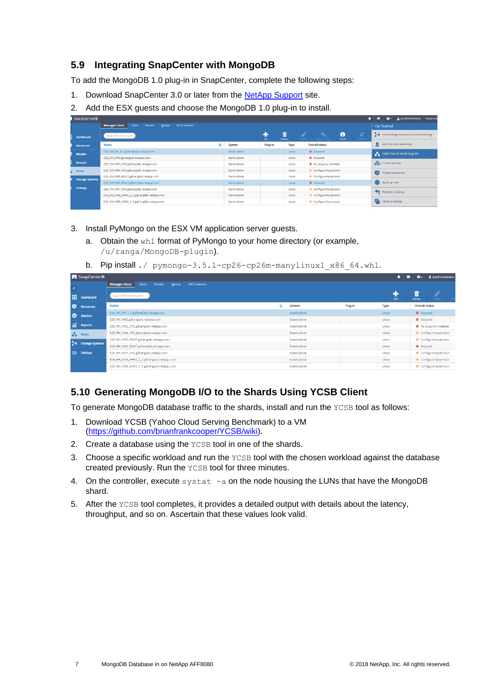### <span id="page-6-0"></span>**5.9 Integrating SnapCenter with MongoDB**

To add the MongoDB 1.0 plug-in in SnapCenter, complete the following steps:

- 1. Download SnapCenter 3.0 or later from the [NetApp Support](https://mysupport.netapp.com/) site.
- 2. Add the ESX guests and choose the MongoDB 1.0 plug-in to install.

| SnapCenter®            |                                                                                         |    |             |             |        |                                                                 | <b>M</b> | $\bullet$          | spadministrator SnapCent              |  |
|------------------------|-----------------------------------------------------------------------------------------|----|-------------|-------------|--------|-----------------------------------------------------------------|----------|--------------------|---------------------------------------|--|
|                        | <b>Managed Hosts</b><br><b>Disks</b><br><b>iSCSI Session</b><br><b>Shares</b><br>Igroup |    |             |             |        |                                                                 |          | <b>Get Started</b> |                                       |  |
| Dashboard              | Search for host name                                                                    |    |             | 72<br>Arid. | Remove | 0<br>국<br>Details.<br>Configure Plug-In<br>Refresh VM<br>Modify |          |                    | Add storage connections and licensing |  |
| <b>Resources</b>       | Name                                                                                    | 15 | System      | Plug-in     | Type   | <b>Overall status</b>                                           |          |                    | Add Run As credentials                |  |
| <b>Monitor</b>         | E2E_RH_VM_1_2.gdl.englab.netapp.com                                                     |    | Stand-alone |             | Linux  | Stopped                                                         |          |                    | Add a host & install plug-ins         |  |
|                        | E2E_RH_VM2.gdl.englab.netapp.com                                                        |    | Stand-alone |             | Linux  | Stopped                                                         |          |                    |                                       |  |
| <b>Reports</b>         | E2E_RH_VM3_CFG.gdl.englab.netapp.com                                                    |    | Stand-alone |             | Linux  | No plug-ins installed                                           |          | Create policies    |                                       |  |
| <b>Hosts</b>           | E2E_RH_VM4_CFG.gdl.englab.netapp.com                                                    |    | Stand-alone |             | Linux  | Configure hypervisor                                            |          |                    | V Protect resources                   |  |
|                        | E2E_RH_VM5_ROUT.gdl.englab.netapp.com                                                   |    | Stand-alone |             | Linux  | Configure hypervisor                                            |          |                    |                                       |  |
| <b>Storage Systems</b> | EZE_RH_VM6_ROUT.gdl.englab.netapp.com                                                   |    | Stand-alone |             | Linux  | Stopped                                                         |          | Back up now        |                                       |  |
| <b>Settings</b>        | E2E_RH_VM7_CFG.gdl.englab.netapp.com                                                    |    | Stand-alone |             | Linux  | Configure hypervisor                                            |          |                    | Restore a backup                      |  |
|                        | E2E_RH_VM8_SHRD_2_2.gdl.englab.netapp.com                                               |    | Stand-alone |             | Linux  | Configure hypervisor                                            |          |                    |                                       |  |
|                        | E2E_RH_VM8_SHRD_2_3.gdl.englab.netapp.com                                               |    | Stand-alone |             | Linux  | Configure hypervisor                                            | п        | Clone a backup     |                                       |  |
|                        |                                                                                         |    |             |             |        |                                                                 |          |                    |                                       |  |

- 3. Install PyMongo on the ESX VM application server guests.
	- a. Obtain the whl format of PyMongo to your home directory (or example, /u/ranga/MongoDB-plugin).
	- b. Pip install ./  $pymonqo-3.5.1-cp26-cp26m-manylinuz1 x86 64.whl.$

|           | <b>N</b> SnapCenter®   |                                                                                   |             |         |       | м | ≏-             | L sj\administrator    |
|-----------|------------------------|-----------------------------------------------------------------------------------|-------------|---------|-------|---|----------------|-----------------------|
| $\prec$   |                        | <b>Managed Hosts</b><br>Disks:<br><b>iSCSI</b> Session<br><b>Shares</b><br>lgroup |             |         |       |   |                |                       |
| m         | Dashboard              | Search for host name                                                              |             |         | Add   |   | Barrow         | Modify.               |
| $\bullet$ | <b>Resources</b>       | 珪<br>Name                                                                         | System      | Plug-in | Type  |   | Overall status |                       |
| $\bullet$ | Monitor                | EZE_RH_VM_1_2.gdl.englab.netapp.com                                               | Stand-alone |         | Linux |   | Stopped        |                       |
|           |                        | E2E_RH_VM2.gdl.englab.netapp.com                                                  | Stand-alone |         | Linux |   | Stopped        |                       |
|           | a Reports              | E2E_RH_VM3_CFG.gdl.englab.netapp.com                                              | Stand-alone |         | Linux |   |                | No plug-ins installed |
|           | $\frac{1}{2}$ Hosts    | E2E RH VM4 CFG.gdl.englab.netapp.com                                              | Stand-alone |         | Linux |   |                | Configure hypervisor  |
| 24.       |                        | E2E_RH_VM5_ROUT.gdl.englab.netapp.com                                             | Stand-alone |         | Linux |   |                | Configure hypervisor  |
|           | <b>Storage Systems</b> | E2E_RH_VM6_ROUT.gdl.englab.netapp.com                                             | Stand-alone |         | Linux |   | Stopped        |                       |
| 圭         | Settings               | E2E_RH_VM7_CFG.gdl.englab.netapp.com                                              | Stand-alone |         | Linux |   |                | Configure hypervisor  |
|           |                        | E2E_RH_VM8_SHRD_2_2.gdl.englab.netapp.com                                         | Stand-alone |         | Linux |   |                | Configure hypervisor  |
|           |                        | E2E_RH_VM8_SHRD_2_3.gdl.englab.netapp.com                                         | Stand-alone |         | Linux |   |                | Configure hypervisor  |
|           |                        |                                                                                   |             |         |       |   |                |                       |

### <span id="page-6-1"></span>**5.10 Generating MongoDB I/O to the Shards Using YCSB Client**

To generate MongoDB database traffic to the shards, install and run the YCSB tool as follows:

- 1. Download YCSB (Yahoo Cloud Serving Benchmark) to a VM [\(https://github.com/brianfrankcooper/YCSB/wiki\)](https://github.com/brianfrankcooper/YCSB/wiki).
- 2. Create a database using the YCSB tool in one of the shards.
- 3. Choose a specific workload and run the YCSB tool with the chosen workload against the database created previously. Run the YCSB tool for three minutes.
- 4. On the controller, execute systat  $-a$  on the node housing the LUNs that have the MongoDB shard.
- 5. After the YCSB tool completes, it provides a detailed output with details about the latency, throughput, and so on. Ascertain that these values look valid.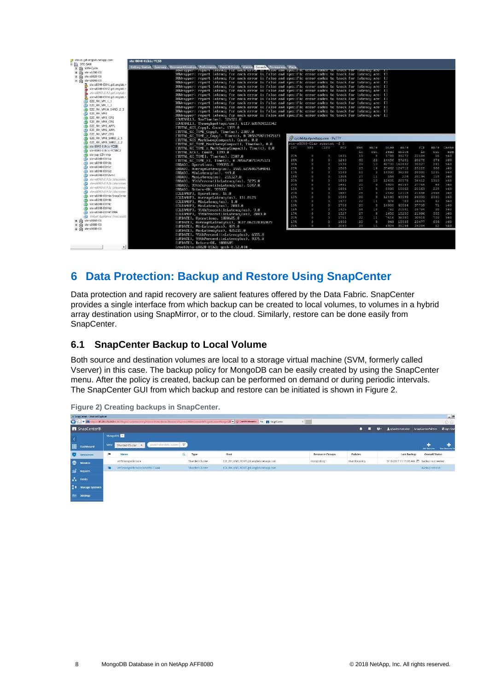| Ste-vc.gdi.englab.netapp.com             | ste-8040-01h1c-YCSB                                                                                                   |      |                                     |                |      |       |                |       |              |       |      |       |
|------------------------------------------|-----------------------------------------------------------------------------------------------------------------------|------|-------------------------------------|----------------|------|-------|----------------|-------|--------------|-------|------|-------|
| E STE-SAN                                | Resource Allocation & Performance & Tasks & Events   Alarms   Control   Permissions   Meda<br>Getting Started Summary |      |                                     |                |      |       |                |       |              |       |      |       |
| <b>Fi filli</b> SAN-Cycle                | powrapper, report tatency for each error is faise and specific error codes to track for fatency are. If               |      |                                     |                |      |       |                |       |              |       |      |       |
| 田 雨 ste-s6280-01                         | DBWrapper: report latency for each error is false and specific error codes to track for latency are: []               |      |                                     |                |      |       |                |       |              |       |      |       |
| 田 曲 ste-s8020-01                         | DBWrapper: report latency for each error is false and specific error codes to track for latency are: []               |      |                                     |                |      |       |                |       |              |       |      |       |
| 日 曲 ste-s8040-01                         | DBWrapper: report latency for each error is false and specific error codes to track for latency are: []               |      |                                     |                |      |       |                |       |              |       |      |       |
| ste-s8040-01h1.gdl.englab.n              | DBWrapper: report latency for each error is false and specific error codes to track for latency are: []               |      |                                     |                |      |       |                |       |              |       |      |       |
| ste-s8040-01h2.gdl.englab.r              | DBWrapper: report latency for each error is false and specific error codes to track for latency are: []               |      |                                     |                |      |       |                |       |              |       |      |       |
| ste-s8040-011/3.adl.englab.i             | DBWrapper: report latency for each error is false and specific error codes to track for latency are: []               |      |                                     |                |      |       |                |       |              |       |      |       |
| ste-s8040-01h4.gdl.englab.r              | DBWrapper: report latency for each error is false and specific error codes to track for latency are: []               |      |                                     |                |      |       |                |       |              |       |      |       |
| E2E RH VM 1 1<br>他                       | DBWrapper: report latency for each error is false and specific error codes to track for latency are: []               |      |                                     |                |      |       |                |       |              |       |      |       |
| E2E RH VM 1 2                            | DBWrapper: report latency for each error is false and specific error codes to track for latency are: []               |      |                                     |                |      |       |                |       |              |       |      |       |
| E2E RH_VM10_SHRD_2_3                     | DBWrapper: report latency for each error is false and specific error codes to track for latency are: []               |      |                                     |                |      |       |                |       |              |       |      |       |
| <b>D</b> E2E RH VM2                      | DBWrapper: report latency for each error is false and specific error codes to track for latency are: []               |      |                                     |                |      |       |                |       |              |       |      |       |
| EZE_RH_VM3_CFG                           | [OVERALL], RunTime(ms), 326921.0                                                                                      |      |                                     |                |      |       |                |       |              |       |      |       |
| E2E RH VM4 CFG                           | [OUERALL], Throughput(ops/sec), 6117.685924122342                                                                     |      |                                     |                |      |       |                |       |              |       |      |       |
| EZE_RH_VM5_APPL<br>HB.                   | [TOTAL GCS Copy], Count, 1399.0                                                                                       |      |                                     |                |      |       |                |       |              |       |      |       |
| Ah<br>E2E RH VM6 APPL                    | ITUTAL GC TIME_Copyl, Time(ms), 2307.0                                                                                |      |                                     |                |      |       |                |       |              |       |      |       |
| <b>R</b> EZE RH VM7 CFG                  | [TUTAL GC TIME $\times$ Copy], Time( $\times$ ), 8.7856758713475121                                                   |      |                                     |                |      |       |                |       |              |       |      |       |
| E2E RH VM8 SHRD 2 1                      | [TUTAL GCS MarkSweepCompact], Count, 0.0                                                                              |      | AP cycrhortp.rtp.netapp.com - PuTTY |                |      |       |                |       |              |       |      |       |
| E2E RH VM9 SHRD 2 2                      | [TUTAL GC TIME MarkSweepCompact], Time(ms), 0.0                                                                       |      | ste-s8080-01a> sysstat -f 5         |                |      |       |                |       |              |       |      |       |
| ste-8040-01h1c-YCSB                      | [TOTAL GC_TIME x MarkSweepCompact], Time(x), 0.0                                                                      | CPU  | NFS                                 | CIFS.          | FCP  | Net.  | kB/J           | Disk  | kB/g         | FCP   | kB/3 | Cache |
| ste-8040-01h1c-YCSBC2                    | [TUTAL GCs], Count, 1399.0                                                                                            |      |                                     |                |      | in    | QUE            | read  | write        | in    | out  | age   |
| Ste-Jug-12h-tmp                          | [TOTAL GC TIME], Time(ms), 2307.0                                                                                     | 20%  | $\Box$                              | $\alpha$       | 1635 | 19    | $-8$           | 5788  | 39272        | 22584 | 56   | 560   |
| 看<br>$str-S8040-G1h1a$                   | [TUTAL GC TIME %], Time(%), 0.7056750713475121                                                                        | 26%  | $\circ$                             | O.             | 1240 | 60    | 22             |       | 14456 87281  | 20278 | 374  | >60   |
| <sup>4</sup> 1 ste-s8040-01h1b           | [READ], Operations, 999395.0                                                                                          | 35%  | o                                   | $\sigma$       | 1538 | 29    | 10             |       | 42700 163432 | 35027 | 241  | 560   |
| ste-s8040-01h1c                          | IREAD], AverageLatencu(us), 1565.6276867504841                                                                        | 28%  | $\Box$                              | O.             | 1505 | 23    | 14             |       | 37662 124712 | 25228 | 966  | >60   |
| Æ<br>ste-s8040-01h1d                     | [READ], MinLatency(us), 449.0                                                                                         | 178  | $\circ$                             | $\alpha$       | 1349 | 19    | $\alpha$       |       | 14390 36238  | 20380 | 1235 | 560   |
| $B$ ste-s8040-01h2vm1                    | IREAD], MaxLatencu(us), 211327.8                                                                                      | 15%  | $\theta$                            | o              | 1305 | 27    | 11             | 354   | 226          | 20194 | 115  | >60   |
| Нà<br>ste-s8040-01h3a (disconnect        | [READ], 95thPercentileLatencu(us), 3275.0                                                                             | 208  | $\Box$                              | $\Omega$       | 1893 | 28    | 10             | 12605 | 20378        | 36412 | 1319 | >60   |
| Ð<br>ste-s8040-01h3b (disconnec-         | IREAD], 99thPercentileLatency(us), 5347.0                                                                             | 20%  | $\circ$                             | o              | 1641 | 20    | 9              | 9920  | 64147        | 27745 | 64   | 560   |
| 色<br>ste-s8040-01h3c (disconnec-         | [READ], Return=OK, 999395                                                                                             | 15%  | $\circ$                             | ö              | 1604 | 17    | $\theta$       | 5390  | 15962        | 21563 | 228  | >60   |
| 曲<br>ste-s8040-01h3d (disconnec-         | [CLEANUP], Operations, 16.0                                                                                           | 20%  | $\Box$                              | $\Omega$       | 1667 | 25    | $\overline{u}$ |       | 2462 12118   | 21636 | 2466 | >60   |
| Ste-s8040-01h4a-SnapCente                | [CLEAMUP], AverageLatency(us), 131.8125                                                                               | 18%  | $\circ$                             | $\circ$        | 1588 | 28    | $\mathcal{G}$  | 12440 | 43198        | 26333 | 2540 | >60   |
| ste-s8040-01h4b                          | [CLEAMUP], MinLatencu(us), 1.0                                                                                        | 17%  | $\Box$                              | 0              | 1477 | 22    | 11             | 976   | 783          | 26929 | 92   | >60   |
| ste-s8040-01h4c<br>Ar.                   | ICLEANUP1, MaxLatency(us), 2083.0                                                                                     | 198  | $\circ$                             | $\alpha$       | 1756 | 20    | $\mathbf{Q}$   | 14988 | 40584        | 37739 | 71   | >60   |
| ste-s8040-01h4d<br>m.                    | [CLEANUP], 95thPercentileLatencu(us), 9.8                                                                             | 1.6% | $\circ$                             | $\overline{O}$ | 1425 | .54   | 18             | 762   | 20981        | 24784 | 38   | >60   |
| ste-s8040-01h4f-VMA                      | [CLEAMUP], 99thPercentileLatencu(us), 2083.0                                                                          | 17%  | $\circ$                             | o              | 1527 | $-27$ | $\circ$        | 1658  | 15250        | 21996 | 588  | >60   |
| <b>Pa</b> Virtual Appliance (inaccessit) | [UPDATE], Operations, 1000605.8                                                                                       | 20%  | $\circ$                             | $\Omega$       | 1751 | 22    | 11             | 7616  | 36380        | 30919 | 709  | >60   |
| 田 山 ste-s8060-01                         | [UPDATE], AverageLatency(us), 3637.862178382879                                                                       | 17%  | $\circ$                             | o              | 1950 | 20    | $\circ$        | 949   | 15538        | 23477 | 809  | >60   |
| 田 面 ste-s8080-01                         | [UPDATE], MinLatency(us), 489.8                                                                                       | 21%  | $\circ$                             | $\Omega$       | 2040 | 29    | 1.5            |       | 6924 35294   | 24284 | 62   | 560   |
| 田 動 ste-s9000-01                         | [UPDATE], MaxLatency(us), 425215.0                                                                                    |      |                                     |                |      |       |                |       |              |       |      |       |
|                                          | [UPDATE], 95thPercentileLatencu(us), 6555.0                                                                           |      |                                     |                |      |       |                |       |              |       |      |       |
|                                          | [UPDATE], 99thPercentileLatency(us), 9375.0                                                                           |      |                                     |                |      |       |                |       |              |       |      |       |
|                                          | IUPDATE1, Return=OK, 1000605                                                                                          |      |                                     |                |      |       |                |       |              |       |      |       |
|                                          | Iroot@ste-s8020-01h2c ucsb-0.12.0]#                                                                                   |      |                                     |                |      |       |                |       |              |       |      |       |
|                                          |                                                                                                                       |      |                                     |                |      |       |                |       |              |       |      |       |

## <span id="page-7-0"></span>**6 Data Protection: Backup and Restore Using SnapCenter**

Data protection and rapid recovery are salient features offered by the Data Fabric. SnapCenter provides a single interface from which backup can be created to local volumes, to volumes in a hybrid array destination using SnapMirror, or to the cloud. Similarly, restore can be done easily from SnapCenter.

### <span id="page-7-1"></span>**6.1 SnapCenter Backup to Local Volume**

Both source and destination volumes are local to a storage virtual machine (SVM, formerly called Vserver) in this case. The backup policy for MongoDB can be easily created by using the SnapCenter menu. After the policy is created, backup can be performed on demand or during periodic intervals. The SnapCenter GUI from which backup and restore can be initiated is shown in [Figure 2.](#page-7-2)

|         | SnapCenter - Internet Explorer          |      |                                              |   |                 |                                                                                                                                                           |                        |               |                                                | $-10$                                    |
|---------|-----------------------------------------|------|----------------------------------------------|---|-----------------|-----------------------------------------------------------------------------------------------------------------------------------------------------------|------------------------|---------------|------------------------------------------------|------------------------------------------|
|         | $\mathbf{G}(\mathbb{C})$ - $\mathbf{n}$ |      |                                              |   |                 | /10.231.154.132.81.98/Ploge/Controlleder/day/Ploths/Drobs/Holder/Resource/Type=ex/RSPicst=mall@Plage/Kame=Mongol Q. - Q. Certificate error + + TanpCarder | $\times$               |               |                                                | $\Omega$ is                              |
|         | <b>n</b> SnapCenter®                    |      |                                              |   |                 |                                                                                                                                                           |                        | п             | Ladministrator SnapCenterAdmin<br>$\mathbf{a}$ | <b>J</b> Sign Out                        |
| $\prec$ |                                         |      | MongoDB 3                                    |   |                 |                                                                                                                                                           |                        |               |                                                |                                          |
|         | <b>H</b> Dashboard                      | View | Search sharded cluster: T<br>Sharded Cluster |   |                 |                                                                                                                                                           |                        |               |                                                | Additionarte<br><b>New Resource Co</b>   |
|         | <b>Resources</b>                        | p.   | Name                                         | 旺 | Type            | Host                                                                                                                                                      | <b>Resource Groups</b> | Policies      | <b>Last Backup</b>                             | <b>Overall Status</b>                    |
|         | <b>CD</b> Monitor                       |      | vm5mongodbroute                              |   | Sharded Cluster | E2E_RH_VM5_ROUT.gdl.englab.netapp.com                                                                                                                     | mongodbrg1             | shardbkpolicy |                                                | 9/18/2017 11:19:05 AM 自 Backup succeeded |
|         | <b>Sell</b> Reports                     | G    | vm5mongodbroutecione09071444                 |   | Sharded Cluster | E2E_RH_VM5_ROUT.gdl.onglab.netapp.com                                                                                                                     |                        |               |                                                | Backup not run                           |
|         | $\frac{\pi}{4}$ Hosts                   |      |                                              |   |                 |                                                                                                                                                           |                        |               |                                                |                                          |
|         | <b>El Storage Systems</b>               |      |                                              |   |                 |                                                                                                                                                           |                        |               |                                                |                                          |
|         | = Settings                              |      |                                              |   |                 |                                                                                                                                                           |                        |               |                                                |                                          |
|         |                                         |      |                                              |   |                 |                                                                                                                                                           |                        |               |                                                |                                          |

<span id="page-7-2"></span>**Figure 2) Creating backups in SnapCenter.**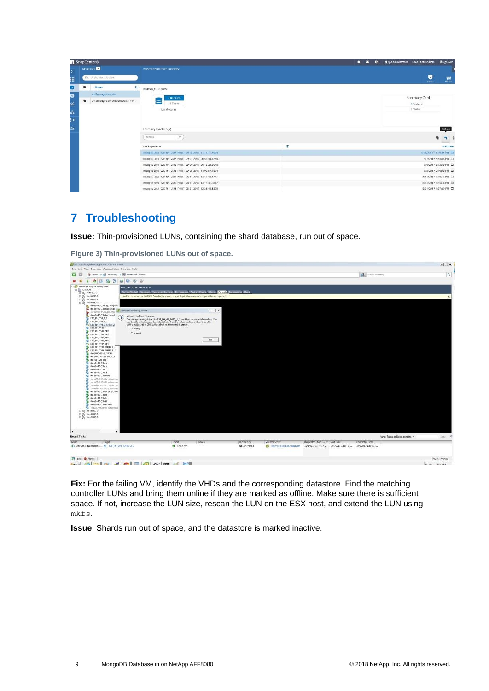|                     | SnapCenter®                                      |                                                     |   | <b>I</b> Sign Out<br>×.<br>$\mathbf{e}$<br>Lishadministrator SnapCenterAdmin |
|---------------------|--------------------------------------------------|-----------------------------------------------------|---|------------------------------------------------------------------------------|
| ⋗                   |                                                  | vm5mongodbroute Topology                            |   |                                                                              |
| Ħ,                  | Search sharded clusters.                         |                                                     |   | $\bullet$<br>$\frac{1}{\sin \theta}$<br>Fretest                              |
| a                   | Name<br>15                                       | Manage Copies                                       |   |                                                                              |
| Ø<br>ăî<br>õ,<br>ŀ. | wn5mongodbroute:<br>vm5mongodbrouteclone09071444 | 7 Backups<br>1 Clone<br>Local copies                |   | Summary Card<br>7 Backups<br>1 Clone                                         |
| ≡                   |                                                  | Primary Backup(s)                                   |   | Restore                                                                      |
|                     |                                                  | $\boldsymbol{\nabla}$<br>search                     |   | 竹 音<br>雇                                                                     |
|                     | MongoDB<br>價                                     | <b>Backup Name</b>                                  | 驛 | <b>End Date</b>                                                              |
|                     |                                                  | mongodbrg1_E2E_RH_VM5_ROUT_09-18-2017_11.18.11.5994 |   | 9/18/2017 11/19:05 AM                                                        |
|                     |                                                  | mongodbrg1_E2E_RH_VM5_ROUT_09-07-2017_20.54.49.1288 |   | 9/7/2017 8:55:38 PM                                                          |
|                     |                                                  | mongodbrg1_E2E_RH_VM5_ROUT_09-06-2017_20.13.24.3076 |   | 9/6/2017 8:13:59 PM                                                          |
|                     |                                                  | mongodbrg1_E2E_RH_VM5_ROUT_09-05-2017_14.09.57.1894 |   | 9/5/2017 2:10:39 PM                                                          |
|                     |                                                  | mongodbrg1_E2E_RH_VMS_ROUT_08-31-2017_13.45.46.8777 |   | 8/31/2017 1:46:11 PM                                                         |
|                     |                                                  | mongodbrg1_E2E_RH_VM5_ROUT_08-31-2017_13.44.31.5817 |   | 8/31/2017 1:45:16 PM                                                         |
|                     |                                                  | mongodbrg1_E2E_RH_VM5_ROUT_08-31-2017_13.36.48.5398 |   | 8/31/2017 1:37:20 PM □                                                       |

## <span id="page-8-0"></span>**7 Troubleshooting**

**Issue:** Thin-provisioned LUNs, containing the shard database, run out of space.

| of the vogal english netapp.com - v5phere Client<br>File Edit View Inventory Administration Plug-ins Help                                                                                                                                                                                                                                                                                                                                                                                                                                                                                                                                                                                                                                                                                                                                                                                                                                                                                                                                                                                                                                      |                                                                                                                                                                                                                                                                                                                                                                                                                                                                                                                                                                             |                         |                                  |                                  |                                                          |                               |                                     | $=$ $\pi$ x  |
|------------------------------------------------------------------------------------------------------------------------------------------------------------------------------------------------------------------------------------------------------------------------------------------------------------------------------------------------------------------------------------------------------------------------------------------------------------------------------------------------------------------------------------------------------------------------------------------------------------------------------------------------------------------------------------------------------------------------------------------------------------------------------------------------------------------------------------------------------------------------------------------------------------------------------------------------------------------------------------------------------------------------------------------------------------------------------------------------------------------------------------------------|-----------------------------------------------------------------------------------------------------------------------------------------------------------------------------------------------------------------------------------------------------------------------------------------------------------------------------------------------------------------------------------------------------------------------------------------------------------------------------------------------------------------------------------------------------------------------------|-------------------------|----------------------------------|----------------------------------|----------------------------------------------------------|-------------------------------|-------------------------------------|--------------|
| (3 Horse D All Inventory D [6] Horbrand Clusters<br><b>12 H</b>                                                                                                                                                                                                                                                                                                                                                                                                                                                                                                                                                                                                                                                                                                                                                                                                                                                                                                                                                                                                                                                                                |                                                                                                                                                                                                                                                                                                                                                                                                                                                                                                                                                                             |                         |                                  |                                  |                                                          | <b>Bally</b> Search Intentory |                                     | $\mathbf{Q}$ |
| 惑<br>商四日日少秋<br>e                                                                                                                                                                                                                                                                                                                                                                                                                                                                                                                                                                                                                                                                                                                                                                                                                                                                                                                                                                                                                                                                                                                               |                                                                                                                                                                                                                                                                                                                                                                                                                                                                                                                                                                             |                         |                                  |                                  |                                                          |                               |                                     |              |
| El po ma-vc.gdl.englab.netapp.com<br>E & STE-SAN<br>E (B) SAN-Cycle<br>H (8 ste-a6200-01)<br>E 10 ste-40020-01<br>日面 #0-40040-01<br>1 daiges bp. Infl.0444-ats<br>ste-about-color get angl. 2 Virtual Mechine Question<br>ste-s9040-01h4.gdi.engl<br>$\left( 7\right)$<br><b>DE RH VM. L. L</b><br><b>BEDERICHLEZ</b><br>ED EJE RH_VMID_SHRD_2<br>FOR THE RM YPE?<br><b>B</b> EXE_RIC VPD CFG<br>FB EZE RH YM4 CFG<br><b>B</b> E2E RH_VMS_APPL<br><b>EDE RH YMS APPL</b><br>Ph E2E RH YM7 CFG<br>EJE RH YND SHRD 2.1<br><b>BELLE RH VPR SHRD 2.2</b><br>str-8040-01h1c-YESB<br>ste-8040-01h1r-YESBEZ<br>& ste-jug-12h-tmp<br>ate-a0040-01hla<br>didn't detailed at<br><sup>2</sup> ste-s3040-01h1c<br><sup>2</sup> ste-s\$040-01h1d<br><sup>Ph</sup> ste-s\$040-01h2wn1<br><b>B</b> ste-altho-stitute issuance<br>Ph shr-sNMP-01870 (discover<br>Ph de-altho-strict: (disconne<br>Ph ste-about-000.2d (discovered<br>ste-s3040-01h4a-SnapCerto<br>PR ste-48040-01h%<br>Fig. sta-a8040-01h4c<br>Ph ste-s3040-01h4d<br>AMV-9910-0104-ate<br><b>Pa</b> Virtual Assistance Cinacement<br>田 曲 me-6000-01<br>E (8 ste-s0000-01<br>H (8 ste-49000-01) | EJE_RH_WH10_SHRD_2_3<br>Getting Started, Savenury, Contamination Continuousle, Chaska & Courts, Charles, Control, Oureaustrie, Mark.<br>Unable to connect to the MKSI Could not connect to pipe W pipelumiusre-authoripe within retry period<br><b>Virtual Hachine Hessage</b><br>The storage backing virtual disk E2E. RH VM SHRD 2. 3 viridit has permanent device loss. You<br>may be able to hot remove this virtual device from the virtual machine and continue after<br>cliding button retry. Click button abort to terminate this session.<br>$G$ Retry<br>C Cancel | $ \Box$ x<br><b>CK</b>  |                                  |                                  |                                                          |                               |                                     |              |
| <b>Recent Tasks</b>                                                                                                                                                                                                                                                                                                                                                                                                                                                                                                                                                                                                                                                                                                                                                                                                                                                                                                                                                                                                                                                                                                                            |                                                                                                                                                                                                                                                                                                                                                                                                                                                                                                                                                                             |                         |                                  |                                  |                                                          |                               | Name, Target or Status contains: v. | Clear X      |
| Target                                                                                                                                                                                                                                                                                                                                                                                                                                                                                                                                                                                                                                                                                                                                                                                                                                                                                                                                                                                                                                                                                                                                         | <b>SEANIE</b>                                                                                                                                                                                                                                                                                                                                                                                                                                                                                                                                                               | Details<br>Initiated by | <b>VCenter Server</b>            | Requested Start Ti. : 9tart Time |                                                          | Completed Time                |                                     |              |
| 5) Answer virtualmachine 图 E20 RH_VMS_SHRD_2 L                                                                                                                                                                                                                                                                                                                                                                                                                                                                                                                                                                                                                                                                                                                                                                                                                                                                                                                                                                                                                                                                                                 | Completed                                                                                                                                                                                                                                                                                                                                                                                                                                                                                                                                                                   | NETAPP' range           | mogether deligned biguyests [17] |                                  | 10/1/2017 11:50:17 10/1/2017 11:55:17 10/1/2017 11:55:17 |                               |                                     |              |
|                                                                                                                                                                                                                                                                                                                                                                                                                                                                                                                                                                                                                                                                                                                                                                                                                                                                                                                                                                                                                                                                                                                                                |                                                                                                                                                                                                                                                                                                                                                                                                                                                                                                                                                                             |                         |                                  |                                  |                                                          |                               |                                     |              |
|                                                                                                                                                                                                                                                                                                                                                                                                                                                                                                                                                                                                                                                                                                                                                                                                                                                                                                                                                                                                                                                                                                                                                |                                                                                                                                                                                                                                                                                                                                                                                                                                                                                                                                                                             |                         |                                  |                                  |                                                          |                               |                                     |              |

<span id="page-8-1"></span>**Figure 3) Thin-provisioned LUNs out of space.**

**Fix:** For the failing VM, identify the VHDs and the corresponding datastore. Find the matching controller LUNs and bring them online if they are marked as offline. Make sure there is sufficient space. If not, increase the LUN size, rescan the LUN on the ESX host, and extend the LUN using mkfs.

**Issue**: Shards run out of space, and the datastore is marked inactive.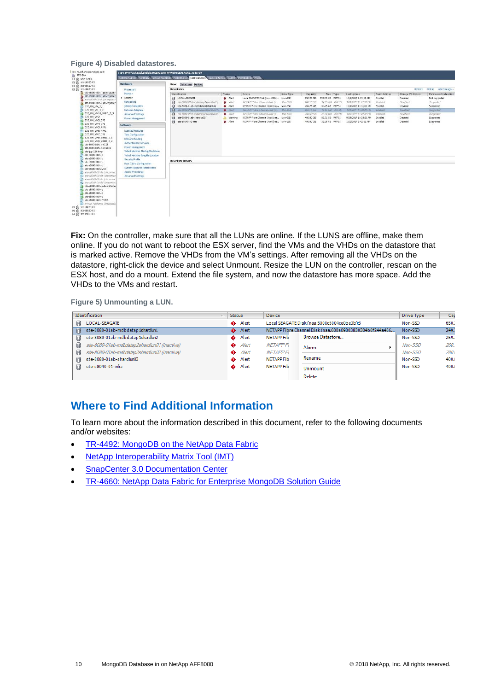#### <span id="page-9-1"></span>**Figure 4) Disabled datastores.**

| 田面 ste-6280-01<br>田面 ste-\$8020-01                                                                                                                                                                                                                                                                                                                                                                                                                                                                                          | Hardware                                                                                                                                                                                                                                                                                                                                                                                                                                               | View:<br>Datastores Devices                                                                                                                                                                                                                                             |                                                                                                           |                                                                                                                                                                                                                                                                                      |                                                                      |                                                                                                     |                                                                                                                                                |                                                                                                                                                                                       |                                                                                                                 |                                                                                                         |                                                                                                                      |
|-----------------------------------------------------------------------------------------------------------------------------------------------------------------------------------------------------------------------------------------------------------------------------------------------------------------------------------------------------------------------------------------------------------------------------------------------------------------------------------------------------------------------------|--------------------------------------------------------------------------------------------------------------------------------------------------------------------------------------------------------------------------------------------------------------------------------------------------------------------------------------------------------------------------------------------------------------------------------------------------------|-------------------------------------------------------------------------------------------------------------------------------------------------------------------------------------------------------------------------------------------------------------------------|-----------------------------------------------------------------------------------------------------------|--------------------------------------------------------------------------------------------------------------------------------------------------------------------------------------------------------------------------------------------------------------------------------------|----------------------------------------------------------------------|-----------------------------------------------------------------------------------------------------|------------------------------------------------------------------------------------------------------------------------------------------------|---------------------------------------------------------------------------------------------------------------------------------------------------------------------------------------|-----------------------------------------------------------------------------------------------------------------|---------------------------------------------------------------------------------------------------------|----------------------------------------------------------------------------------------------------------------------|
| 日 曲 ste-s8040-01                                                                                                                                                                                                                                                                                                                                                                                                                                                                                                            | <b>Processors</b>                                                                                                                                                                                                                                                                                                                                                                                                                                      | <b>Datastores</b>                                                                                                                                                                                                                                                       |                                                                                                           |                                                                                                                                                                                                                                                                                      |                                                                      |                                                                                                     |                                                                                                                                                |                                                                                                                                                                                       |                                                                                                                 | Referench                                                                                               | Delete Add Storage                                                                                                   |
| ste-s8040-01ht.gdl.englab.t<br>酪<br>ste-s8040-01h2.gdl.englab.r<br>Me-v8040-01h3.ool.enable.<br>ste-s8040-01h4.gdl.englab.r<br><b>D</b> E2E RH VM 1 1<br>E2E RH VM 1 2<br>EZE RH VM10 SHRD 2 3<br><b>D</b> E2E RH VM2<br>E2E RH VM3 CFG<br><b>EZE RH VM4 CFG</b><br>E2E RH VMS APPL<br>E2E RH_VM6_APPL<br><b>EZE RH VM7 CFG</b><br>E2E RH VMB SHRD 2.1<br>EZE RH_VM9_SHRD_2_2<br>ste-8040-01h1c-YCSB                                                                                                                        | Mentor v.<br>> Storage<br>Networking<br>Storage Adapters<br>Network Adepters<br>Advanced Settings<br>Power Management<br>Software<br>Licensed Features<br>Time Configuration<br>DNS and Routing<br>Authentication Services<br><b>Power Management</b><br>Virtual Machine Startup/Shutdown<br>Virtual Machine Swanfie Location<br>Security Profile<br>Host Cache Configuration<br>System Resource Reservation<br>Agent VM Settings<br>Advanced Settings | Identification<br><b>EN LOCAL-SEAGATE</b><br>B ste 8080 01ab milliotatoplatardian1 (<br>Bite-8(80-01ab-mdbdatap1shardur2<br>EB ate-0000-01ap-mabateten2shardfun01<br>ste-8280-01sb-mdbdatep2ebard(un92<br>信<br>ste-8080-01ab-shardlun03<br>信<br>辅<br>ste-s8040-01-infra | Status<br><b>A</b> Alet<br>$A$ Aford<br><b>O</b> Alert<br>$+46$<br>46 <sub>1</sub><br>A Warning<br>A Alet | Device<br>Local SEAGATE Disk (nas.5000c.,<br>NETAPP Filive Channel Disk In<br>NETAPP Fibre Channel Disk (nes Non-550)<br><b>NETAPP Fibre Channel Didir In</b><br>NETAPP Film Channel Disk In<br>NETAPP Fibre Channel Disk (nas Non-SSD<br>NETAPP hibre Channel Disk (nas.,, Non-330) | Draw Type<br>Non-SSD<br>Algo, CQ2<br>Non-SSD<br>$N_{\text{CO}}$ -SSD | Capacity<br>650.25 GB<br>249.75 GB<br>269.75 GB<br>202.75 GB<br>280,00 GB<br>400.00 GB<br>400.00 GD | Free Type<br>220.00 MD VMFSS<br><b>14.93 GB VMFS5</b><br>40.05 GB VMPS5<br>TIJAFGB VMF55<br>20.30 GB VMF55<br>85.71 GB VMFSS<br>35.36 GD VMF55 | Lastupdate<br>10/1/2017 2:13:58 AM<br>10/10017 11:07:10 PM<br>10/1/2017 11:11:01 PM<br>10/10017 11:00:49 PM<br>10/1/2017 11:09:32 PM<br>9/29/2017 10:33:31 PM<br>10/2/2017 8:42:13 AM | Alarm Actions<br>Enabled<br><b>Builded</b><br><b>Enabled</b><br><b>Disting</b><br>Enabled<br>Enabled<br>Enabled | Storage I/O Control<br>Disabled<br>Disabled<br>Disabled<br>Disabled<br>Disabled<br>Disabled<br>Disabled | Hardware Acceleration<br>Not supported<br>Supported<br>Supported<br>Supported<br>Supported<br>Supported<br>Supported |
| ste-8040-B1hLc-YCSBC2<br>ste-tug-12h-tmp<br>ste-s8040-01hta<br>ste-\$8040-01hib<br>ste-s8040-01htc<br>m<br>ste-\$8040-01hid<br>ste-s8040-01h2vm1<br><b>PD</b> ste-aBDA0-020.3a juliscomers<br>ste-s8040-0163b (disconnec-<br>描<br>ste-d040-0143; (discover)<br>÷<br>The security of the Conservation<br>ste-s8040-01h4a-SnaoCente<br>ste-46040-01h4b<br>ste-s8040-01h4c<br>ste-s8040-01h4d<br>tic-s8040-01h4f-VMA<br><b>At Virtual Appliance Unaccessit-</b><br>日 面 ste-s8060-01<br>H 面 ste-\$8080-01<br>田 (k) ste-s9000-01 |                                                                                                                                                                                                                                                                                                                                                                                                                                                        | <b>Datastore Details</b>                                                                                                                                                                                                                                                |                                                                                                           |                                                                                                                                                                                                                                                                                      |                                                                      |                                                                                                     |                                                                                                                                                |                                                                                                                                                                                       |                                                                                                                 |                                                                                                         |                                                                                                                      |

**Fix:** On the controller, make sure that all the LUNs are online. If the LUNS are offline, make them online. If you do not want to reboot the ESX server, find the VMs and the VHDs on the datastore that is marked active. Remove the VHDs from the VM's settings. After removing all the VHDs on the datastore, right-click the device and select Unmount. Resize the LUN on the controller, rescan on the ESX host, and do a mount. Extend the file system, and now the datastore has more space. Add the VHDs to the VMs and restart.

<span id="page-9-2"></span>**Figure 5) Unmounting a LUN.**

| Identification |                                              | <b>Status</b> |       | Device                                                   |  |                         | Drive Type | Cap   |
|----------------|----------------------------------------------|---------------|-------|----------------------------------------------------------|--|-------------------------|------------|-------|
| 国              | LOCAL-SEAGATE                                | ♠             | Alert | Local SEAGATE Disk (naa.5000c5004ce0be3b):3              |  | Non-SSD                 | 650.       |       |
| 国              | ste-8080-01ab-mdbdatap1shardlun1             | ⊕             | Alert | NETAPP Fibre Channel Disk (naa.600a09803830304b6f244a466 |  |                         | Non-SSD    | 249.  |
| 目<br>目         | ste-8080-01ab-mdbdatap1shardlun2             | ♠             | Alert | <b>NETAPP Fib</b>                                        |  | <b>Browse Datastore</b> | Non-SSD    | 269.7 |
|                | ste-8080-01ab-mdbdatap2shardlun01 (inactive) | ♠             | Alert | <b>NETAPP FI</b>                                         |  | Alarm                   | Non-SSD    | 260.  |
| 国              | ste-8080-01ab-mdbdatap2shardlun02(inactive)  | ♠             | Alert | <b>NETAPP<sub>F</sub></b>                                |  |                         | Non-SSD    | 280.0 |
| 目              | ste-8080-01ab-shardlun03                     | ♠             | Alert | <b>NETAPP Fib</b>                                        |  | Rename                  | Non-SSD    | 400.1 |
| 国              | ste-s8040-01-infra                           | ♠             | Alert | <b>NETAPP Fib</b>                                        |  | <b>Unmount</b>          | Non-SSD    | 400.1 |
|                |                                              |               |       |                                                          |  | Delete                  |            |       |

### <span id="page-9-0"></span>**Where to Find Additional Information**

To learn more about the information described in this document, refer to the following documents and/or websites:

- TR-4492: [MongoDB on the NetApp Data Fabric](https://www.netapp.com/us/media/tr-4492.pdf)
- [NetApp Interoperability Matrix Tool \(IMT\)](https://mysupport.netapp.com/matrix/#welcome)
- [SnapCenter 3.0 Documentation Center](https://mysupport.netapp.com/documentation/docweb/index.html?productID=62400&language=en-US)
- [TR-4660: NetApp Data Fabric for Enterprise MongoDB Solution Guide](https://fieldportal.netapp.com/content/629180)